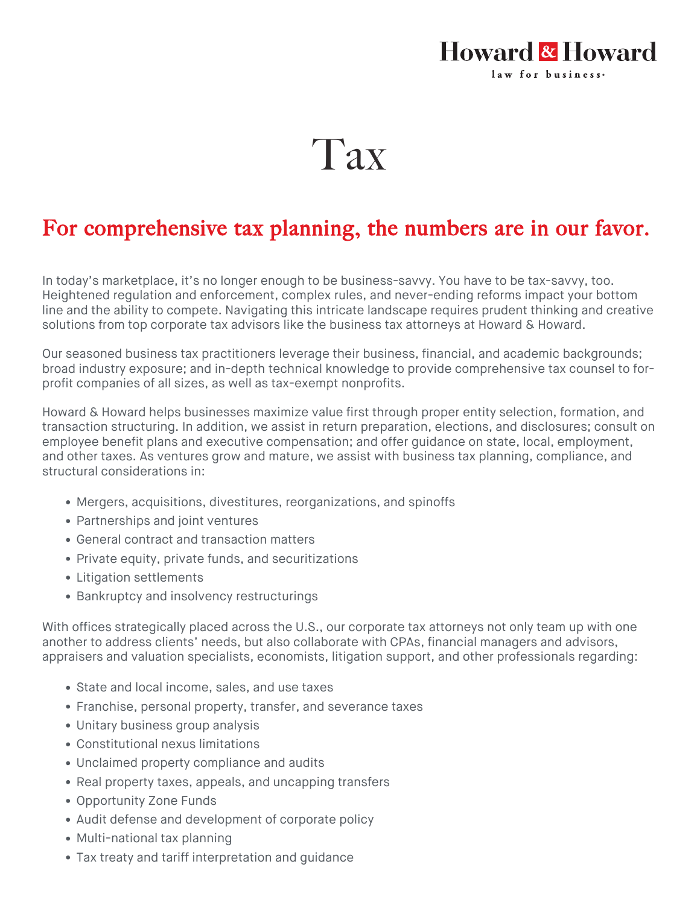## **Howard & Howard** law for business.

## Tax

## For comprehensive tax planning, the numbers are in our favor.

In today's marketplace, it's no longer enough to be business-savvy. You have to be tax-savvy, too. Heightened regulation and enforcement, complex rules, and never-ending reforms impact your bottom line and the ability to compete. Navigating this intricate landscape requires prudent thinking and creative solutions from top corporate tax advisors like the business tax attorneys at Howard & Howard.

Our seasoned business tax practitioners leverage their business, financial, and academic backgrounds; broad industry exposure; and in-depth technical knowledge to provide comprehensive tax counsel to forprofit companies of all sizes, as well as tax-exempt nonprofits.

Howard & Howard helps businesses maximize value first through proper entity selection, formation, and transaction structuring. In addition, we assist in return preparation, elections, and disclosures; consult on employee benefit plans and executive compensation; and offer guidance on state, local, employment, and other taxes. As ventures grow and mature, we assist with business tax planning, compliance, and structural considerations in:

- Mergers, acquisitions, divestitures, reorganizations, and spinoffs
- Partnerships and joint ventures
- General contract and transaction matters
- Private equity, private funds, and securitizations
- Litigation settlements
- **Bankruptcy and insolvency restructurings**

With offices strategically placed across the U.S., our corporate tax attorneys not only team up with one another to address clients' needs, but also collaborate with CPAs, financial managers and advisors, appraisers and valuation specialists, economists, litigation support, and other professionals regarding:

- State and local income, sales, and use taxes
- Franchise, personal property, transfer, and severance taxes
- Unitary business group analysis
- Constitutional nexus limitations
- Unclaimed property compliance and audits
- Real property taxes, appeals, and uncapping transfers
- [Opportunity Zone Funds](https://howardandhoward.com/connectors/media/pdf/services/tax/Opportunity Fund Investment Timeline.pdf)
- Audit defense and development of corporate policy
- Multi-national tax planning
- Tax treaty and tariff interpretation and guidance